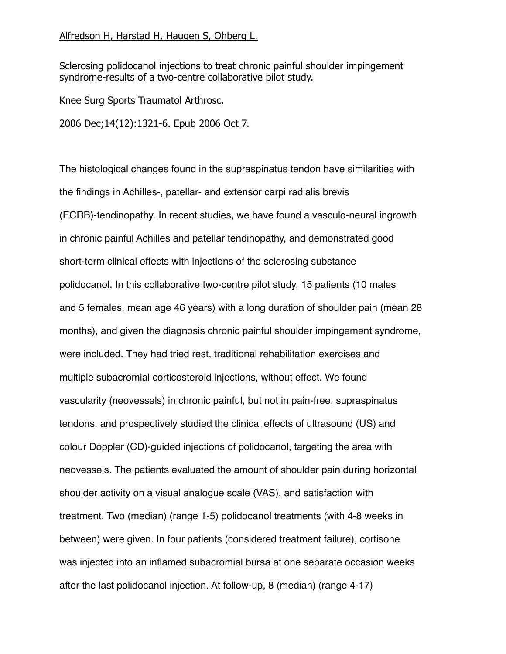## Alfredson H, Harstad H, Haugen S, Ohberg L.

Sclerosing polidocanol injections to treat chronic painful shoulder impingement syndrome-results of a two-centre collaborative pilot study.

Knee Surg Sports Traumatol Arthrosc.

2006 Dec;14(12):1321-6. Epub 2006 Oct 7.

The histological changes found in the supraspinatus tendon have similarities with the findings in Achilles-, patellar- and extensor carpi radialis brevis (ECRB)-tendinopathy. In recent studies, we have found a vasculo-neural ingrowth in chronic painful Achilles and patellar tendinopathy, and demonstrated good short-term clinical effects with injections of the sclerosing substance polidocanol. In this collaborative two-centre pilot study, 15 patients (10 males and 5 females, mean age 46 years) with a long duration of shoulder pain (mean 28 months), and given the diagnosis chronic painful shoulder impingement syndrome, were included. They had tried rest, traditional rehabilitation exercises and multiple subacromial corticosteroid injections, without effect. We found vascularity (neovessels) in chronic painful, but not in pain-free, supraspinatus tendons, and prospectively studied the clinical effects of ultrasound (US) and colour Doppler (CD)-guided injections of polidocanol, targeting the area with neovessels. The patients evaluated the amount of shoulder pain during horizontal shoulder activity on a visual analogue scale (VAS), and satisfaction with treatment. Two (median) (range 1-5) polidocanol treatments (with 4-8 weeks in between) were given. In four patients (considered treatment failure), cortisone was injected into an inflamed subacromial bursa at one separate occasion weeks after the last polidocanol injection. At follow-up, 8 (median) (range 4-17)